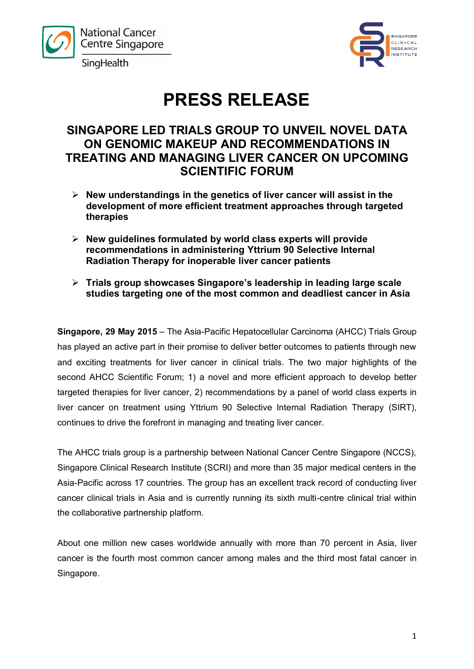



# **PRESS RELEASE**

## **SINGAPORE LED TRIALS GROUP TO UNVEIL NOVEL DATA ON GENOMIC MAKEUP AND RECOMMENDATIONS IN TREATING AND MANAGING LIVER CANCER ON UPCOMING SCIENTIFIC FORUM**

- **New understandings in the genetics of liver cancer will assist in the development of more efficient treatment approaches through targeted therapies**
- **New guidelines formulated by world class experts will provide recommendations in administering Yttrium 90 Selective Internal Radiation Therapy for inoperable liver cancer patients**
- **Trials group showcases Singapore's leadership in leading large scale studies targeting one of the most common and deadliest cancer in Asia**

**Singapore, 29 May 2015** – The Asia-Pacific Hepatocellular Carcinoma (AHCC) Trials Group has played an active part in their promise to deliver better outcomes to patients through new and exciting treatments for liver cancer in clinical trials. The two major highlights of the second AHCC Scientific Forum; 1) a novel and more efficient approach to develop better targeted therapies for liver cancer, 2) recommendations by a panel of world class experts in liver cancer on treatment using Yttrium 90 Selective Internal Radiation Therapy (SIRT), continues to drive the forefront in managing and treating liver cancer.

The AHCC trials group is a partnership between National Cancer Centre Singapore (NCCS), Singapore Clinical Research Institute (SCRI) and more than 35 major medical centers in the Asia-Pacific across 17 countries. The group has an excellent track record of conducting liver cancer clinical trials in Asia and is currently running its sixth multi-centre clinical trial within the collaborative partnership platform.

About one million new cases worldwide annually with more than 70 percent in Asia, liver cancer is the fourth most common cancer among males and the third most fatal cancer in Singapore.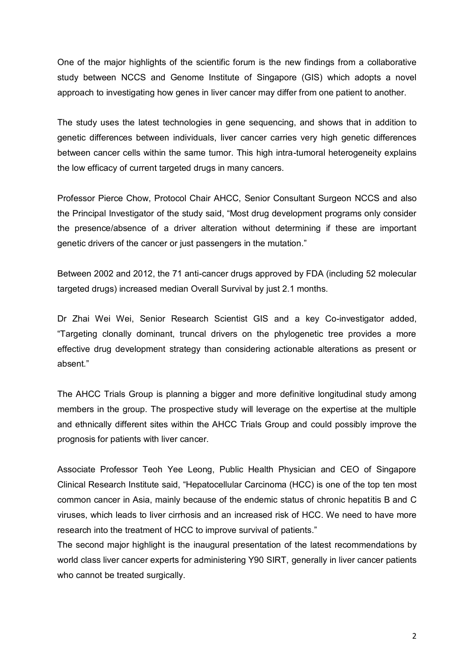One of the major highlights of the scientific forum is the new findings from a collaborative study between NCCS and Genome Institute of Singapore (GIS) which adopts a novel approach to investigating how genes in liver cancer may differ from one patient to another.

The study uses the latest technologies in gene sequencing, and shows that in addition to genetic differences between individuals, liver cancer carries very high genetic differences between cancer cells within the same tumor. This high intra-tumoral heterogeneity explains the low efficacy of current targeted drugs in many cancers.

Professor Pierce Chow, Protocol Chair AHCC, Senior Consultant Surgeon NCCS and also the Principal Investigator of the study said, "Most drug development programs only consider the presence/absence of a driver alteration without determining if these are important genetic drivers of the cancer or just passengers in the mutation."

Between 2002 and 2012, the 71 anti-cancer drugs approved by FDA (including 52 molecular targeted drugs) increased median Overall Survival by just 2.1 months.

Dr Zhai Wei Wei, Senior Research Scientist GIS and a key Co-investigator added, "Targeting clonally dominant, truncal drivers on the phylogenetic tree provides a more effective drug development strategy than considering actionable alterations as present or absent"

The AHCC Trials Group is planning a bigger and more definitive longitudinal study among members in the group. The prospective study will leverage on the expertise at the multiple and ethnically different sites within the AHCC Trials Group and could possibly improve the prognosis for patients with liver cancer.

Associate Professor Teoh Yee Leong, Public Health Physician and CEO of Singapore Clinical Research Institute said, "Hepatocellular Carcinoma (HCC) is one of the top ten most common cancer in Asia, mainly because of the endemic status of chronic hepatitis B and C viruses, which leads to liver cirrhosis and an increased risk of HCC. We need to have more research into the treatment of HCC to improve survival of patients."

The second major highlight is the inaugural presentation of the latest recommendations by world class liver cancer experts for administering Y90 SIRT, generally in liver cancer patients who cannot be treated surgically.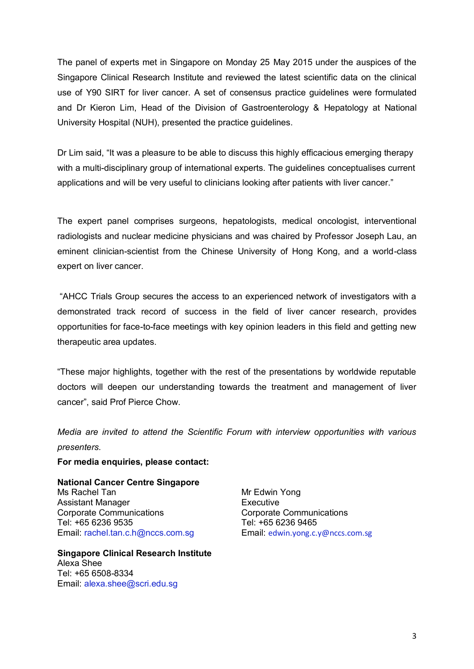The panel of experts met in Singapore on Monday 25 May 2015 under the auspices of the Singapore Clinical Research Institute and reviewed the latest scientific data on the clinical use of Y90 SIRT for liver cancer. A set of consensus practice guidelines were formulated and Dr Kieron Lim, Head of the Division of Gastroenterology & Hepatology at National University Hospital (NUH), presented the practice guidelines.

Dr Lim said, "It was a pleasure to be able to discuss this highly efficacious emerging therapy with a multi-disciplinary group of international experts. The guidelines conceptualises current applications and will be very useful to clinicians looking after patients with liver cancer."

The expert panel comprises surgeons, hepatologists, medical oncologist, interventional radiologists and nuclear medicine physicians and was chaired by Professor Joseph Lau, an eminent clinician-scientist from the Chinese University of Hong Kong, and a world-class expert on liver cancer.

"AHCC Trials Group secures the access to an experienced network of investigators with a demonstrated track record of success in the field of liver cancer research, provides opportunities for face-to-face meetings with key opinion leaders in this field and getting new therapeutic area updates.

"These major highlights, together with the rest of the presentations by worldwide reputable doctors will deepen our understanding towards the treatment and management of liver cancer", said Prof Pierce Chow.

*Media are invited to attend the Scientific Forum with interview opportunities with various presenters.* 

#### **For media enquiries, please contact:**

**National Cancer Centre Singapore** Ms Rachel Tan Assistant Manager Corporate Communications Tel: +65 6236 9535 Email: [rachel.tan.c.h@nccs.com.sg](mailto:rachel.tan.c.h@nccs.com.sg)

**Singapore Clinical Research Institute**  Alexa Shee Tel: +65 6508-8334 Email: [alexa.shee@scri.edu.sg](mailto:alexa.shee@scri.edu.sg)

Mr Edwin Yong Executive Corporate Communications Tel: +65 6236 9465 Email: [edwin.yong.c.y@nccs.com.sg](mailto:edwin.yong.c.y@nccs.com.sg)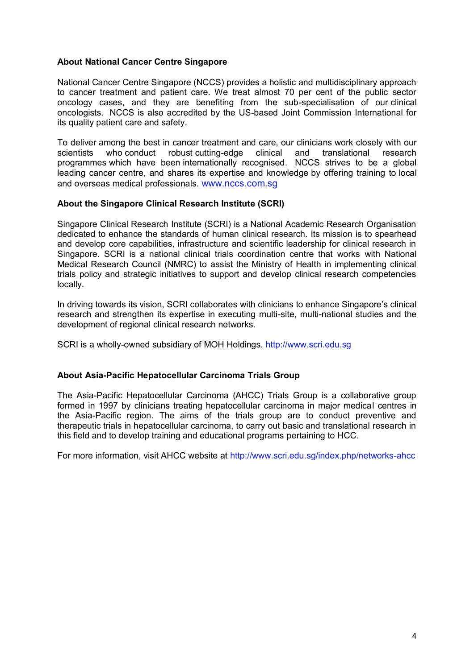### **About National Cancer Centre Singapore**

National Cancer Centre Singapore (NCCS) provides a holistic and multidisciplinary approach to cancer treatment and patient care. We treat almost 70 per cent of the public sector oncology cases, and they are benefiting from the sub-specialisation of our clinical oncologists. NCCS is also accredited by the US-based Joint Commission International for its quality patient care and safety.

To deliver among the best in cancer treatment and care, our clinicians work closely with our scientists who conduct robust cutting-edge clinical and translational research programmes which have been internationally recognised. NCCS strives to be a global leading cancer centre, and shares its expertise and knowledge by offering training to local and overseas medical professionals. [www.nccs.com.sg](http://www.nccs.com.sg/)

#### **About the Singapore Clinical Research Institute (SCRI)**

Singapore Clinical Research Institute (SCRI) is a National Academic Research Organisation dedicated to enhance the standards of human clinical research. Its mission is to spearhead and develop core capabilities, infrastructure and scientific leadership for clinical research in Singapore. SCRI is a national clinical trials coordination centre that works with National Medical Research Council (NMRC) to assist the Ministry of Health in implementing clinical trials policy and strategic initiatives to support and develop clinical research competencies locally.

In driving towards its vision, SCRI collaborates with clinicians to enhance Singapore's clinical research and strengthen its expertise in executing multi-site, multi-national studies and the development of regional clinical research networks.

SCRI is a wholly-owned subsidiary of MOH Holdings. [http://www.scri.edu.sg](http://www.scri.edu.sg/)

#### **About Asia-Pacific Hepatocellular Carcinoma Trials Group**

The Asia-Pacific Hepatocellular Carcinoma (AHCC) Trials Group is a collaborative group formed in 1997 by clinicians treating hepatocellular carcinoma in major medical centres in the Asia-Pacific region. The aims of the trials group are to conduct preventive and therapeutic trials in hepatocellular carcinoma, to carry out basic and translational research in this field and to develop training and educational programs pertaining to HCC.

For more information, visit AHCC website at<http://www.scri.edu.sg/index.php/networks-ahcc>